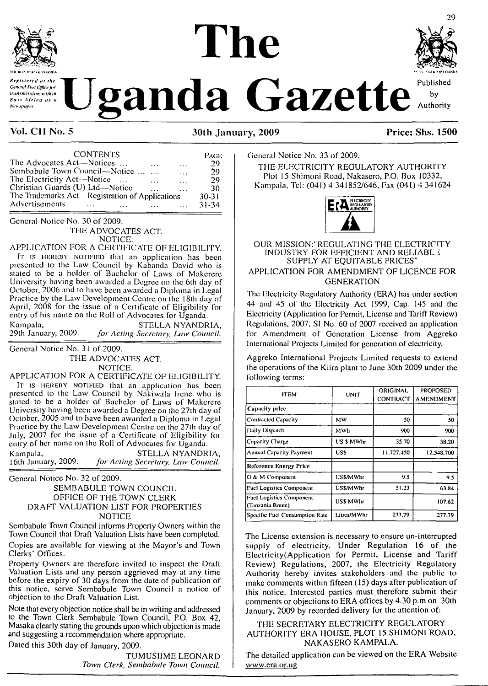

# **Explorate due the Control due the Control on the published** Gazette hyperperture  $\sum_{\text{Kernstation within}}$  **Displant of**  $\sum_{\text{Eqs. 1}}$   $\sum_{\text{Fermatation with } \text{tr}}$  **Displant of**  $\sum_{\text{Fermatation with } \text{tr}}$



# **Vol. CI<sup>I</sup> No. 5 30th January, 2009 Price: Shs. 1500**

| <b>CONTENTS</b>                                     | <b>PAGE</b> |
|-----------------------------------------------------|-------------|
| The Advocates Act—Notices<br>$\cdots$<br>$\cdots$   | -29         |
| Sembabule Town Council—Notice<br>$\cdots$           | 29          |
| The Electricity Act-–Notice<br>$\cdots$<br>$\cdots$ | 29          |
| Christian Guards (U) Ltd-Notice<br>$\cdots$         | 30          |
| The Trademarks Act-Registration of Applications     | $30 - 31$   |
| <b>Advertisements</b>                               | $31 - 34$   |

General Notice No. 30 of 2009.

THE ADVOCATES ACT.

NOTICE.

APPLICATION FOR A CERTIFICATE OF ELIGIBILITY. It is HEREBY NOTIFIED that an application has been presented to the Law Council by Kabanda David who is stated to be a holder of Bachelor of Laws of Makererc University having been awarded a Degree on the 6th day of October. 2006 and to have been awarded a Diploma in Legal Practice by the Law Development Centre on the 18th day of April, 2008 for the issue of a Certificate of Eligibility for entry of his name on the Roll of Advocates for Uganda. Kampala, STELLA NYANDRIA, STELLA NYANDRIA, 29th January, 2009. for Acting Secretary, Law Council. 29th January, 2009. *for Acting Secretary, Law Council.*

General Notice No. 31 of 2009. THE ADVOCATES ACT.

NOTICE.

APPLICATION FOR A CERTIFICATE OF ELIGIBILITY.

IT IS HEREBY NOTIFIED that an application has been presented to the Law Council by Nakiwala Irene who is stated to be a holder of Bachelor of Laws of Makerere University having been awarded a Degree on the 27th day of October, 2005 and to have been awarded a Diploma in Legal Practice by the Law Development Centre on the 27th day of July, 2007 for the issue of a Certificate of Eligibility for entry of her name on the Roll of Advocates for Uganda.

Kampala, STELLA NYANDRIA, 16th January, 2009. for Acting Secretary, Law Council. <sup>1</sup>6lh January, 2009. *for Acting Secretary, Law Council.*

General Notice No. 32 of 2009.

# SEMBABULE TOWN COUNCIL OFFICE OF THE TOWN CLERK DRAFT VALUATION LIST FOR PROPERTIES NOTICE

Sembabule Town Council informs Property Owners within the Town Council that Draft Valuation Lists have been completed. Copies are available for viewing at the Mayor's and Town Clerks' Offices.

Property Owners are therefore invited to inspect the Draft Valuation Lists and any person aggrieved may at any time before the expiry of 30 days from the date of publication of this notice, serve Sembabule Town Council a notice of objection to the Draft Valuation List.

Note that every objection notice shall be in writing and addressed to the Town Clerk Sembabule Town Council, P.O. Box 42, Masaka clearly stating the grounds upon which objection is made and suggesting a recommendation where appropriate.

Dated this 30th day of January, 2009.

TUMUSIIME LEONARD *Town Clerk, Sembabule Town Council.* General Notice No. 33 of 2009.

THE ELECTRICITY REGULATORY AUTHORITY Plot 15 Shimoni Road, Nakasero, P.O. Box 10332, Kampala, Tel: (041) 4 341852/646, Fax (041) 4 341624



#### OUR MISSION:"REGULATING THE ELECTRICITY INDUSTRY FOR EFFICIENT AND RELIABL i SUPPLY AT EQUITABLE PRICES' APPLICATION FOR AMENDMENT OF LICENCE FOR

# **GENERATION**

The Electricity Regulatory Authority (ERA) has under section 44 and 45 of the Electricity Act 1999, Cap. 145 and the Electricity (Application for Permit, License and Tariff Review) Regulations, 2007, SI No. 60 of 2007 received an application for Amendment of Generation License from Aggreko International Projects Limited for generation of electricity.

Aggreko International Projects Limited requests to extend the operations of the Kiira plant to June 30th 2009 under the following terms:

| <b>ITEM</b>                                  | UNIT            | ORIGINAL        | <b>PROPOSED</b>  |
|----------------------------------------------|-----------------|-----------------|------------------|
|                                              |                 | <b>CONTRACT</b> | <b>AMENDMENT</b> |
| Capacity price                               |                 |                 |                  |
| <b>Contracted Capacity</b>                   | мw              | 50              | 50               |
| Daily Dispatch                               | MWh             | 900             | 900              |
| Capacity Charge                              | US \$ MWhr      | 35.70           | 38.20            |
| <b>Annual Capacity Payment</b>               | <b>USS</b>      | 11,727,450      | 12,548,700       |
| <b>Reference Energy Price</b>                |                 |                 |                  |
| O & M Component                              | US\$/MWhr       | 9.5             | 9.5              |
| <b>Fuel Logistics Component</b>              | US\$/MWhr       | 51.23           | 63.84            |
| Fuel Logistics Component<br>(Tanzania Route) | <b>USS MWhr</b> |                 | 107.62           |
| Specific Fuel Consumption Rate               | Litres/MWhr     | 277.79          | 277.79           |

The License extension is necessary to ensure un-interrupted supply of electricity. Under Regulation 16 of the Electricity(AppIication for Permit, License and Tariff Review) Regulations, 2007, the Electricity Regulatory Authority hereby invites stakeholders and the public to make comments within fifteen (15) days after publication of this notice. Interested parties must therefore submit their comments or objections to ERA offices by 4.30 p.m on 30th January, 2009 by recorded delivery for the attention of:

#### THE SECRETARY ELECTRICITY REGULATORY AUTHORITY ERA HOUSE, PLOT 15 SHIMONI ROAD. NAKASERO KAMPALA.

The detailed application can be viewed on the ERA Website [www.era.or.ug](http://www.era.or.ug)

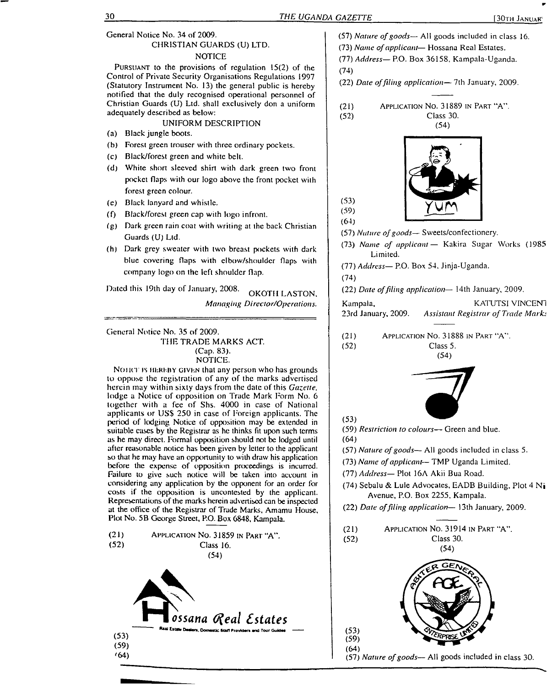# General Notice No. 34 of 2009. CHRISTIAN GUARDS (U) LTD.

# NOTICE

Pursuant to the provisions of regulation 15(2) of the Control of Private Security Organisations Regulations 1997 (Statutory Instrument No. 13) the general public is hereby notified that the duly recognised operational personnel of Christian Guards (U) Ltd. shall exclusively don a uniform adequately described as below:

# UNIFORM DESCRIPTION

- (a) Black jungle boots.
- (b) Forest green trouser with three ordinary pockets.
- (c) Black/forest green and white belt.
- (d) White short sleeved shirt with dark green two front pocket flaps with our logo above the front pocket with forest green colour.
- (c) Black lanyard and whistle.
- (f) Black/forest green cap with logo infront.
- (g) Dark green rain coat with writing at the back Christian Guards (U) Ltd.
- (h) Dark grey sweater with two breast pockets with dark blue covering flaps with clbow/shoulder flaps with company logo on the left shoulder flap.

Dated this 19th day of January, 2008. OKOTH LASTON,

General Notice No. 35 of 2009. THE TRADE MARKS ACT. (Cap. 83).

NOTICE.

NOTICT IS HEREBY GIVEN that any person who has grounds to oppose the registration of any of the marks advertised herein may within sixty days from the date of this *Gazette.* lodge a Notice of opposition on Trade Mark Form No. 6 together with a fee of Shs. 4000 in case of National applicants or USS 250 in case of Foreign applicants. The period of lodging Notice of opposition may be extended in suitable cases by the Registrar as he thinks fit upon such terms as he may direct. Formal opposition should not be lodged until after reasonable notice has been given by letter to the applicant so that he may have an opportunity to with draw his application before the expense of opposition proceedings is incurred. Failure to give such notice will be taken into account in considering any application by the opponent for an order for costs if the opposition is uncontested by the applicant. Representations of the marks herein advertised can be inspected at the office of the Registrar of Trade Marks, Amamu House, Plot No. 5B George Street, P.O. Box 6848, Kampala.



**• hub DocwsUc Scafl Provider\* Tout GukJ«**



'64)

- (57) *Nature ofgoods—* All goods included in class 16.
- (73) *Name ofapplicant* Hossana Real Estates.
- (77) *Address—* P.O. Box 36158, Kampala-Uganda.
- (74)

(22) *Date offiling application—* 7th January, 2009.

(21) (52) Application No. 31889 in Part "A".

Class 30.  $(54)$ 



(59) (64)

(53)

(57) *Nature ofgoods—* Sweets/confectionery.

- (73) *Name of applicant—* Kakira Sugar Works (1985 Limited.
- (77) *Address—* P.O. Box 54. Jinja-Uganda.

(74)

(22) *Date offiling application—* 14th January, 2009.

*Managing Director/Operations.* | Kampala,  $\blacksquare$  KATUTSI VINCENT 23rd January, 2009. *Assistant Registrar ofTrade Mark\**

> (21) Application No. 31888 in Part "A". (52) Class 5.  $(54)$



(59) *Restriction to colours—* Green and blue.

(64)

 $(53)$ 

- (57) *Nature ofgoods—* All goods included in class 5.
- (73) *Name ofapplicant* TMP Uganda Limited.

(77) *Address—* Plot 16A Akii Bua Road.

- (74) Sebalu & Lule Advocates, EADB Building, Plot 4 Ni Avenue, P.O. Box 2255, Kampala.
- (22) *Date offiling application* <sup>1</sup>3th January, 2009.

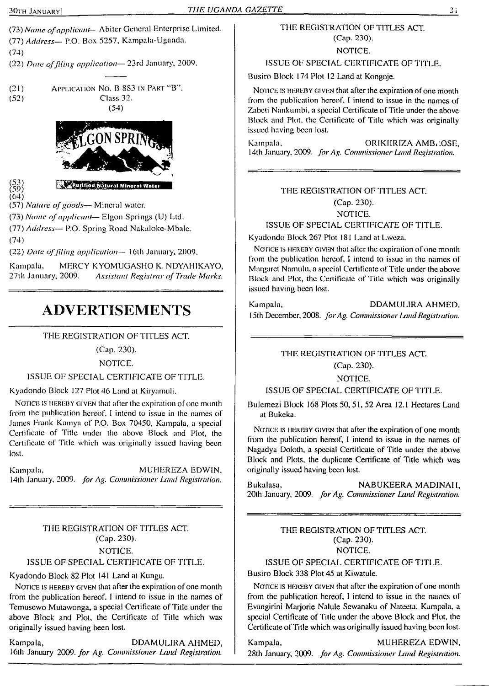(73) *Name ofapplicant—* Abiter General Enterprise Limited. (77) *Address—* P.O. Box 5257, Kampala-Uganda.

(74)

(22) *Date offiling application—* 23rd January, 2009.

 $(21)$  Application No. B 883 in Part "B". (52) Class 32. (54)



Puritied Natural Mineral Wr

(64) (57) *Nature ofgoods—* Mineral water.

(73) *Name ofapplicant*— Elgon Springs (U) Ltd.

(77) *Address—* P.O. Spring Road Nakalokc-Mbale.

(74)

(22) *Date offiling application—* 16th January, 2009.

Kampala, MERCY KYOMUGASHO K. NDYAHIKAYO, 27th January, 2009. *Assistant Registrar of Trade Marks.*

# **ADVERTISEMENTS**

THE REGISTRATION OF TITLES ACT.

(Cap. 230).

NOTICE.

ISSUE OF SPECIAL CERTIFICATE OF TITLE.

Kyadondo Block 127 Plot 46 Land at Kiryamuli.

NOTICE IS HEREBY GIVEN that after the expiration of one month from the publication hereof, <sup>I</sup> intend to issue in the names of James Frank Kamya of P.O. Box 70450, Kampala, a special Certificate of Title under the above Block and Plot, the Certificate of Title which was originally issued having been lost.

Kampala, MUHEREZA EDWIN, 14th January, 2009. *for Ag. Commissioner Land Registration.*

> THE REGISTRATION OF TITLES ACT. (Cap. 230). NOTICE.

# ISSUE OF SPECIAL CERTIFICATE OF TITLE.

Kyadondo Block 82 Plot 141 Land at Kungu.

Notice is hereby given that after the expiration of one month from the publication hereof, I intend to issue in the names of Temusewo Mutawonga, a special Certificate of Title under the above Block and Plot, the Certificate of Title which was originally issued having been lost.

Kampala, DDAMULIRA AHMED, 16th January 2009. *for Ag. Commissioner Land Registration.*

# THE REGISTRATION OF TITLES ACT. (Cap. 230). NOTICE.

ISSUE OF SPECIAL CERTIFICATE OF TITLE.

Busiro Block 174 Plot 12 Land at Kongoje.

NOTICE IS HEREBY GIVEN that after the expiration of one month from the publication hereof, <sup>I</sup> intend to issue in the names of Zabeti Nankumbi, a special Certificate of Title under the above Block and Plot, the Certificate of Title which was originally issued having been lost.

Kampala, **ORIKIIRIZA AMB. :OSE,** 14th January, 2009. *forAg. Commissioner Land Registration.*

> THE REGISTRATION OF TITLES ACT. (Cap. 230). NOTICE.

ISSUE OF SPECIAL CERTIFICATE OF TITLE.

Kyadondo Block 267 Plot 181 Land at Lweza.

Notice is hereby given that after the expiration of one month from the publication hereof, <sup>I</sup> intend to issue in the names of Margaret Namulu, a special Certificate of Title under the above Block and Plot, the Certificate of Title which was originally issued having been lost.

Kampala, DDAMULIRA AHMED, 15th December, 2008. *forAg. Commissioner LandRegistration.*

# THE REGISTRATION OF TITLES ACT.

(Cap. 230).

# NOTICE.

ISSUE OF SPECIAL CERTIFICATE OF TITLE.

Bulcmczi Block 168 Plots 50, 51, 52 Area 12.1 Hectares Land at Bukeka.

NOTICE IS HEREBY GIVEN that after the expiration of one month from the publication hereof, I intend to issue in the names of Nagadya Doloth, a special Certificate of Title under the above Block and Plots, the duplicate Certificate of Title which was originally issued having been lost.

Bukalasa, NABUKEERA MADINAH, 20th January, 2009. *for Ag. Commissioner Land Registration.*

> THE REGISTRATION OF TITLES ACT. (Cap. 230). NOTICE.

ISSUE OF SPECIAL CERTIFICATE OF TITLE. Busiro Block 338 Plot 45 at Kiwatule.

NOTICE IS HEREBY GIVEN that after the expiration of one month from the publication hereof, <sup>I</sup> intend to issue in the names of Evangirini Marjorie Nalule Sewanaku of Nateeta, Kampala, a special Certificate of Title under the above Block and Plot, the Certificate of Title which was originally issued having been lost.

Kampala, MUHEREZA EDWIN, 28th January, 2009. *for Ag. Commissioner Land Registration.*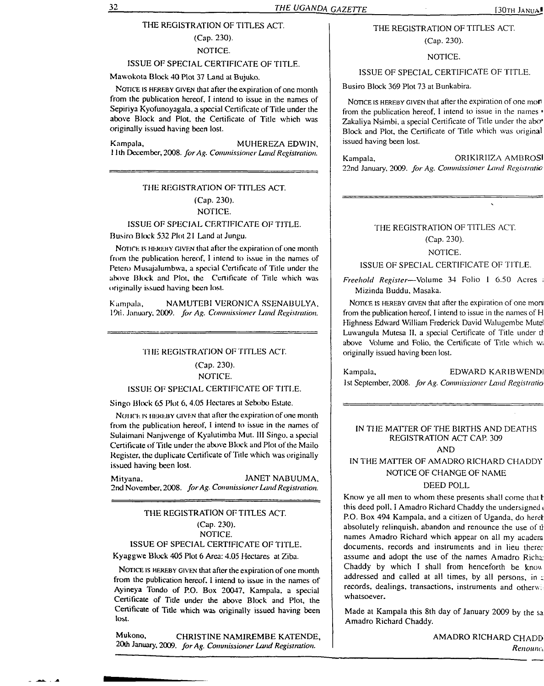(Cap. 230). NOTICE.

# ISSUE OF SPECIAL CERTIFICATE OF TITLE.

Mawokota Block 40 Plot 37 Land at Bujuko.

NOTICE IS HEREBY GIVEN that after the expiration of one month from the publication hereof. I intend to issue in the names of Sepiriya Kyofunoyagala, a special Certificate of Title under the above Block and Plot, the Certificate of Title which was originally issued having been lost.

Kampala, MUHEREZA EDWIN, 11th December, 2008. *forAg. Commissioner Land Registration.*

# THE REGISTRATION OF TITLES ACT. (Cap. 230). NOTICE.

# ISSUE OF SPECIAL CERTIFICATE OF TITLE.

Busiro Block 532 Plot 21 Land at Jungu.

Notice is hereby given that after the expiration of one month from the publication hereof, <sup>I</sup> intend to issue in the names of Petero Musajalumbwa, a special Certificate of Title under the above Block and Plot, the Certificate of Title which was originally issued having been lost.

Kampala, NAMUTEBI VERONICA SSENABULYA, 19ti. January', 2009. *for Ag. Commissioner Land Registration.*

# THE REGISTRATION OF TITLES ACT.

(Cap. 230). NOTICE.

# ISSUE OF SPECIAL CERTIFICATE OF TITLE.

Singo Block 65 Plot 6. 4.05 Hectares at Sebobo Estate.

NOHCE IS HEREBY GIVEN that after the expiration of one month from the publication hereof, <sup>1</sup> intend to issue in the names of Sulaimani Nanjwenge of Kyalutimba Mut. Ill Singo, a special Certificate of Title under the above Block and Plot of the Mailo Register, the duplicate Certificate of Title which was originally issued having been lost.

Mityana, JANET NABUUMA, 2nd November, 2008. *forAg. CommissionerLandRegistration.*

THE REGISTRATION OF TITLES ACT. (Cap. 230). NOTICE. ISSUE OF SPECIAL CERTIFICATE OF TITLE.

Kyaggwe Block 405 Plot 6 Area: 4.05 Hectares at Ziba.

NOTICE IS HEREBY GIVEN that after the expiration of one month from the publication hereof. <sup>1</sup> intend to issue in the names of Ayineya Tondo of P.O. Box 20047, Kampala, a special Certificate of Tide under the above Block and Plot, the Certificate of Title which was originally issued having been lost.

Mukono, CHRISTINE NAMIREMBE KATENDE, 20lh January; 2009. *forAg. Commissioner Land Registration.*

# THE REGISTRATION OF TITLES ACT (Cap. 230).

# NOTICE.

# ISSUE OF SPECIAL CERTIFICATE OF TITLE.

Busiro Block 369 Plot 73 al Bunkabira.

NOTICE IS HEREBY GIVEN that after the expiration of one mort from the publication hereof, I intend to issue in the names Zakaliya Nsimbi, a special Certificate of Title under the abo' Block and Plot, the Certificate of Title which was original issued having been lost.

Kampala, ORIKIRIIZA AMBROSI 22nd January, 2009. *for Ag. Commissioner Land Registrant?*

# THE REGISTRATION OF TITLES ACT.

# (Cap. 230).

# NOTICE.

# ISSUE OF SPECIAL CERTIFICATE OF TITLE.

*Freehold Register—*Volume 34 Folio <sup>1</sup> 6.50 Acres ; Mizinda Buddu, Masaka.

NOTICE IS HEREBY GIVEN that after the expiration of one more from the publication hereof, I intend to issue in the names of H Highness Edward William Frederick David Walugembe Mute' Luwangula Mutesa II, a special Certificate of Title under d above Volume and Folio, the Certificate of Title which was originally issued having been lost.

Kampala, EDWARD KARIBWENDI

1st September, 2008. *forAg. Commissioner Land Registratio*

# IN THE MATTER OF THE BIRTHS AND DEATHS REGISTRATION ACT CAP. 309 AND

# IN THE MATTER OF AMADRO RICHARD CHADDY NOTICE OF CHANGE OF NAME

# DEED POLL

Know ye all men to whom these presents shall come that **t** this deed poll, I Amadro Richard Chaddy the undersigned <sup>i</sup> P.O. Box 494 Kampala, and a citizen of Uganda, do heret absolutely relinquish, abandon and renounce the use of the names Amadro Richard which appear on all my acaderr. documents, records and instruments and in lieu therec assume and adopt the use of the names Amadro Richa; Chaddy by which I shall from henceforth be know addressed and called at all times, by all persons, in : records, dealings, transactions, instruments and otherwiwhatsoever.

Made at Kampala this 8th day of January 2009 by the sa Amadro Richard Chaddy.

> AMADRO RICHARD CHADD *Renounc-.*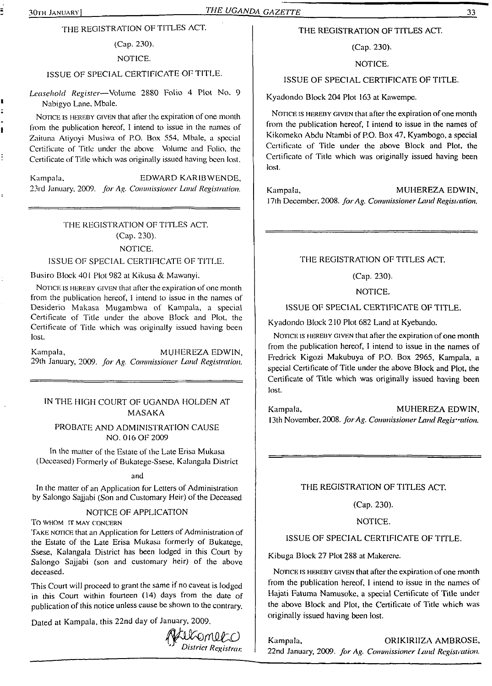$\overline{=}$ 

r

Í

 $\frac{1}{2}$ 

# THE REGISTRATION OF TITLES ACT.

# (Cap. 230).

# NOTICE.

# ISSUE OF SPECIAL CERTIFICATE OF TITLE.

*Leasehold Register—*Volume 2880 Folio 4 Plot No. 9 Nabigyo Lane, Mbale.

NOTICE IS HEREBY GIVEN that after the expiration of one month from the publication hereof, <sup>I</sup> intend to issue in the names of Zaituna Atiyoyi Musiwa of P.O. Box 554, Mbale, a special Certificate of Title under the above Volume and Folio, the Certificate of Title which was originally issued having been lost.

Kampala, EDWARD KARIBWENDE, 23rd January', 2009. *for Ag. Commissioner Land Registration.*

# THE REGISTRATION OF TITLES ACT. (Cap. 230).

# NOTICE.

# ISSUE OF SPECIAL CERTIFICATE OF TITLE.

Busiro Block 401 Plot 982 at Kikusa & Mawanyi.

NOTICE IS HEREBY GIVEN that after the expiration of one month from the publication hereof, <sup>I</sup> intend to issue in the names of Desiderio Makasa Mugambwa of Kampala, a special Certificate of Title under the above Block and Plot, the Certificate of Title which was originally issued having been lost.

Kampala, MUHEREZA EDWIN, 29th January, 2009. *for Ag. Commissioner Land Registration.*

# IN THE HIGH COURT OF UGANDA HOLDEN AT MASAKA

PROBATE AND ADMINISTRATION CAUSE NO. 016 OF 2009

In the matter of the Estate of the Late Erisa Mukasa (Deceased) Formerly of Bukategc-Ssese, Kalangala District

# and

In the matter of an Application for Letters of Administration by Salongo Sajjabi (Son and Customary Heir) of the Deceased

# NOTICE OF APPLICATION

TO WHOM IT MAY CONCERN

TAKE NOTICE that an Application for Letters of Administration of the Estate of the Late Erisa Mukasa formerly of Bukatege, Ssese, Kalangala District has been lodged in this Court by Salongo Sajjabi (son and customary heir) of the above deceased.

This Court will proceed to grant the same if no caveat is lodged in this Court within fourteen (14) days from the date of publication of this notice unless cause be shown to the contrary.

Dated at Kampala, this 22nd day of January, 2009.



# THE REGISTRATION OF TITLES ACT.

(Cap. 230).

NOTICE.

# ISSUE OF SPECIAL CERTIFICATE OF TITLE.

Kyadondo Block 204 Plot 163 at Kawempe.

Notice is hereby given that after the expiration of one month from the publication hereof, I intend to issue in the names of Kikomeko Abdu Ntambi of P.O. Box 47, Kyambogo, a special Certificate of Title under the above Block and Plot, the Certificate of Title which was originally issued having been lost.

Kampala, MUHEREZA EDWIN, 17th December, 2008. for Ag. Commissioner Land Registration.

# THE REGISTRATION OF TITLES ACT.

# (Cap. 230).

# NOTICE.

ISSUE OF SPECIAL CERTIFICATE OF TITLE.

Kyadondo Block 210 Plot 682 Land at Kyebando.

NOTICE IS HEREBY GIVEN that after the expiration of one month from the publication hereof, I intend to issue in the names of Fredrick Kigozi Makubuya of P.O. Box 2965, Kampala, a special Certificate of Title under the above Block and Plot, the Certificate of Title which was originally issued having been lost.

Kampala, MUHEREZA EDWIN, 13th November, 2008. *forAg. Commissioner LandRegis'-ation.*

# THE REGISTRATION OF TITLES ACT.

(Cap. 230).

NOTICE.

# ISSUE OF SPECIAL CERTIFICATE OF TITLE.

Kibuga Block 27 Plot 288 at Makerere.

NOTICE IS HEREBY GIVEN that after the expiration of one month from the publication hereof, <sup>I</sup> intend to issue in the names of Hajati Fatuma Namusoke, a special Certificate of Title under the above Block and Plot, the Certificate of Title which was originally issued having been lost.

Kampala, ORIKIRIIZA AMBROSE, 22nd January, 2009. *for Ag. Commissioner Land Registration.*